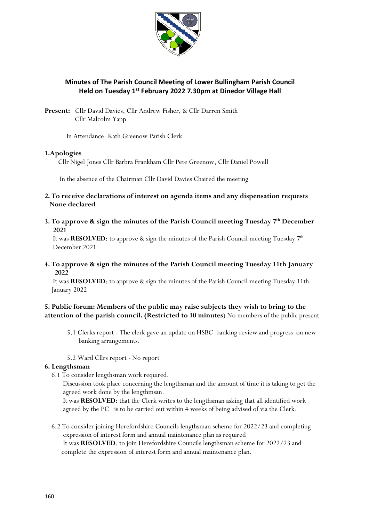

# **Minutes of The Parish Council Meeting of Lower Bullingham Parish Council Held on Tuesday 1 st February 2022 7.30pm at Dinedor Village Hall**

Present: Cllr David Davies, Cllr Andrew Fisher, & Cllr Darren Smith Cllr Malcolm Yapp

In Attendance: Kath Greenow Parish Clerk

### **1.Apologies**

Cllr Nigel Jones Cllr Barbra Frankham Cllr Pete Greenow, Cllr Daniel Powell

In the absence of the Chairman Cllr David Davies Chaired the meeting

- **2. To receive declarations of interest on agenda items and any dispensation requests None declared**
- **3. To approve & sign the minutes of the Parish Council meeting Tuesday 7 th December 2021**

It was **RESOLVED**: to approve & sign the minutes of the Parish Council meeting Tuesday  $7<sup>th</sup>$ December 2021

**4. To approve & sign the minutes of the Parish Council meeting Tuesday 11th January 2022** 

It was **RESOLVED**: to approve & sign the minutes of the Parish Council meeting Tuesday 11th January 2022

## **5. Public forum: Members of the public may raise subjects they wish to bring to the attention of the parish council. (Restricted to 10 minutes**) No members of the public present

- 5.1 Clerks report The clerk gave an update on HSBC banking review and progress on new banking arrangements.
- 5.2 Ward Cllrs report No report

## **6. Lengthsman**

6.1 To consider lengthsman work required.

 Discussion took place concerning the lengthsman and the amount of time it is taking to get the agreed work done by the lengthmsan.

 It was **RESOLVED**: that the Clerk writes to the lengthsman asking that all identified work agreed by the PC is to be carried out within 4 weeks of being advised of via the Clerk.

 6.2 To consider joining Herefordshire Councils lengthsman scheme for 2022/23 and completing expression of interest form and annual maintenance plan as required It was **RESOLVED**: to join Herefordshire Councils lengthsman scheme for 2022/23 and complete the expression of interest form and annual maintenance plan.